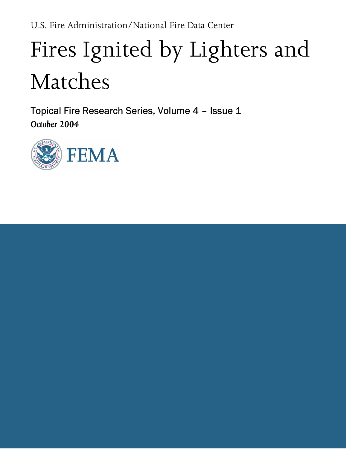# Fires Ignited by Lighters and Matches

Topical Fire Research Series, Volume 4 – Issue 1 October 2004

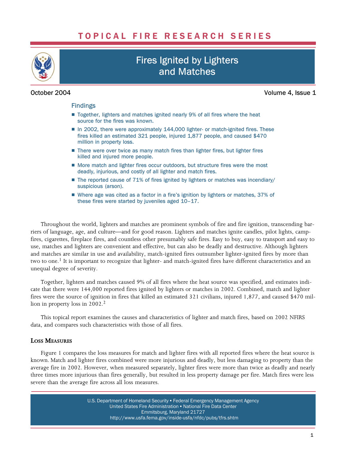## TOPICAL FIRE RESEARCH SERIES



# Fires Ignited by Lighters and Matches

October 2004 Volume 4, Issue 1

#### Findings

- Together, lighters and matches ignited nearly 9% of all fires where the heat source for the fires was known.
- In 2002, there were approximately 144,000 lighter- or match-ignited fires. These fires killed an estimated 321 people, injured 1,877 people, and caused \$470 million in property loss.
- There were over twice as many match fires than lighter fires, but lighter fires killed and injured more people.
- More match and lighter fires occur outdoors, but structure fires were the most deadly, injurious, and costly of all lighter and match fires.
- The reported cause of 71% of fires ignited by lighters or matches was incendiary/ suspicious (arson).
- Where age was cited as a factor in a fire's ignition by lighters or matches, 37% of these fires were started by juveniles aged 10–17.

Throughout the world, lighters and matches are prominent symbols of fire and fire ignition, transcending barriers of language, age, and culture—and for good reason. Lighters and matches ignite candles, pilot lights, campfires, cigarettes, fireplace fires, and countless other presumably safe fires. Easy to buy, easy to transport and easy to use, matches and lighters are convenient and effective, but can also be deadly and destructive. Although lighters and matches are similar in use and availability, match−ignited fires outnumber lighter−ignited fires by more than two to one.1 It is important to recognize that lighter− and match−ignited fires have different characteristics and an unequal degree of severity.

Together, lighters and matches caused 9% of all fires where the heat source was specified, and estimates indicate that there were 144,000 reported fires ignited by lighters or matches in 2002. Combined, match and lighter fires were the source of ignition in fires that killed an estimated 321 civilians, injured 1,877, and caused \$470 million in property loss in 2002.<sup>2</sup>

This topical report examines the causes and characteristics of lighter and match fires, based on 2002 NFIRS data, and compares such characteristics with those of all fires.

### LOSS MEASURES

Figure 1 compares the loss measures for match and lighter fires with all reported fires where the heat source is known. Match and lighter fires combined were more injurious and deadly, but less damaging to property than the average fire in 2002. However, when measured separately, lighter fires were more than twice as deadly and nearly three times more injurious than fires generally, but resulted in less property damage per fire. Match fires were less severe than the average fire across all loss measures.

> U.S. Department of Homeland Security • Federal Emergency Management Agency United States Fire Administration . National Fire Data Center Emmitsburg, Maryland 21727 [http://www.usfa.fema.gov/inside−usfa/nfdc/pubs/tfrs.shtm](http://www.usfa.fema.gov/inside%E2%88%92usfa/nfdc/pubs/tfrs.shtm)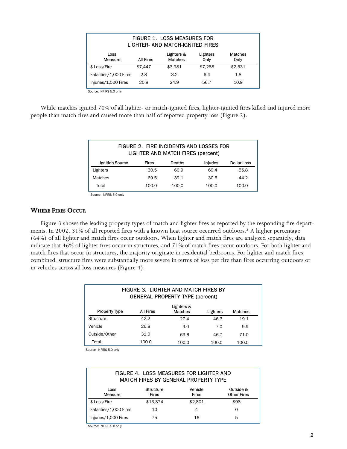| <b>FIGURE 1. LOSS MEASURES FOR</b><br>LIGHTER- AND MATCH-IGNITED FIRES                              |                              |         |         |         |  |  |
|-----------------------------------------------------------------------------------------------------|------------------------------|---------|---------|---------|--|--|
| Matches<br>Lighters &<br>Lighters<br>Loss<br><b>Matches</b><br>Only<br>Only<br>Measure<br>All Fires |                              |         |         |         |  |  |
| \$ Loss/Fire                                                                                        | \$7.447                      | \$3.981 | \$7,288 | \$2.531 |  |  |
| Fatalities/1,000 Fires                                                                              | 2.8                          | 3.2     | 6.4     | 1.8     |  |  |
| Injuries/1,000 Fires                                                                                | 20.8<br>24.9<br>56.7<br>10.9 |         |         |         |  |  |

Source: NFIRS 5.0 only

While matches ignited 70% of all lighter− or match−ignited fires, lighter−ignited fires killed and injured more people than match fires and caused more than half of reported property loss (Figure 2).

| FIGURE 2. FIRE INCIDENTS AND LOSSES FOR<br>LIGHTER AND MATCH FIRES (percent) |       |        |          |             |
|------------------------------------------------------------------------------|-------|--------|----------|-------------|
| Ignition Source                                                              | Fires | Deaths | Injuries | Dollar Loss |
| Lighters                                                                     | 30.5  | 60.9   | 69.4     | 55.8        |
| <b>Matches</b>                                                               | 69.5  | 39.1   | 30.6     | 44.2        |
| Total                                                                        | 100.0 | 100.0  | 100.0    | 100.0       |

Source: NFIRS 5.0 only

#### WHERE FIRES OCCUR

Figure 3 shows the leading property types of match and lighter fires as reported by the responding fire departments. In 2002, 31% of all reported fires with a known heat source occurred outdoors.<sup>3</sup> A higher percentage (64%) of all lighter and match fires occur outdoors. When lighter and match fires are analyzed separately, data indicate that 46% of lighter fires occur in structures, and 71% of match fires occur outdoors. For both lighter and match fires that occur in structures, the majority originate in residential bedrooms. For lighter and match fires combined, structure fires were substantially more severe in terms of loss per fire than fires occurring outdoors or in vehicles across all loss measures (Figure 4).

| FIGURE 3. LIGHTER AND MATCH FIRES BY<br><b>GENERAL PROPERTY TYPE (percent)</b> |                  |                              |          |         |
|--------------------------------------------------------------------------------|------------------|------------------------------|----------|---------|
| <b>Property Type</b>                                                           | <b>All Fires</b> | Lighters &<br><b>Matches</b> | Lighters | Matches |
| Structure                                                                      | 42.2             | 27.4                         | 46.3     | 19.1    |
| Vehicle                                                                        | 26.8             | 9.0                          | 7.0      | 9.9     |
| Outside/Other                                                                  | 31.0             | 63.6                         | 46.7     | 71.0    |
| Total                                                                          | 100.0            | 100.0                        | 100.0    | 100.0   |

Source: NFIRS 5.0 only

| FIGURE 4. LOSS MEASURES FOR LIGHTER AND<br>MATCH FIRES BY GENERAL PROPERTY TYPE |                                  |                         |                                 |  |
|---------------------------------------------------------------------------------|----------------------------------|-------------------------|---------------------------------|--|
| Loss<br>Measure                                                                 | <b>Structure</b><br><b>Fires</b> | Vehicle<br><b>Fires</b> | Outside &<br><b>Other Fires</b> |  |
| \$ Loss/Fire                                                                    | \$13.374                         | \$2.801                 | \$98                            |  |
| Fatalities/1,000 Fires                                                          | 10                               | 4                       | $\Omega$                        |  |
| Injuries/1,000 Fires                                                            | 75                               | 16                      | 5                               |  |

Source: NFIRS 5.0 only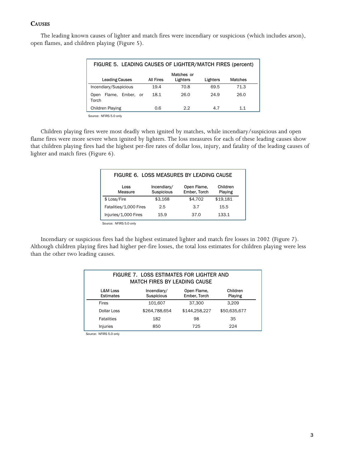#### **CAUSES**

The leading known causes of lighter and match fires were incendiary or suspicious (which includes arson), open flames, and children playing (Figure 5).

| FIGURE 5. LEADING CAUSES OF LIGHTER/MATCH FIRES (percent) |           |                        |          |                |
|-----------------------------------------------------------|-----------|------------------------|----------|----------------|
| <b>Leading Causes</b>                                     | All Fires | Matches or<br>Lighters | Lighters | <b>Matches</b> |
| Incendiary/Suspicious                                     | 19.4      | 70.8                   | 69.5     | 71.3           |
| Ember, or<br>Flame.<br>Open<br>Torch                      | 18.1      | 26.0                   | 24.9     | 26.0           |
| <b>Children Playing</b>                                   | 0.6       | 2.2                    | 4.7      | 1.1            |

Source: NFIRS 5.0 only

Children playing fires were most deadly when ignited by matches, while incendiary/suspicious and open flame fires were more severe when ignited by lighters. The loss measures for each of these leading causes show that children playing fires had the highest per−fire rates of dollar loss, injury, and fatality of the leading causes of lighter and match fires (Figure 6).

| FIGURE 6. LOSS MEASURES BY LEADING CAUSE |                           |                             |                     |  |
|------------------------------------------|---------------------------|-----------------------------|---------------------|--|
| Loss<br>Measure                          | Incendiary/<br>Suspicious | Open Flame,<br>Ember, Torch | Children<br>Playing |  |
| \$ Loss/Fire                             | \$3,168                   | \$4,702                     | \$19,181            |  |
| Fatalities/1,000 Fires                   | 2.5                       | 3.7                         | 15.5                |  |
| Injuries/1,000 Fires                     | 15.9                      | 37.0                        | 133.1               |  |

Source: NFIRS 5.0 only

Incendiary or suspicious fires had the highest estimated lighter and match fire losses in 2002 (Figure 7). Although children playing fires had higher per−fire losses, the total loss estimates for children playing were less than the other two leading causes.

| FIGURE 7. LOSS ESTIMATES FOR LIGHTER AND<br><b>MATCH FIRES BY LEADING CAUSE</b> |                                                                                        |               |              |  |  |
|---------------------------------------------------------------------------------|----------------------------------------------------------------------------------------|---------------|--------------|--|--|
| <b>L&amp;M Loss</b><br><b>Estimates</b>                                         | Children<br>Open Flame,<br>Incendiary/<br><b>Suspicious</b><br>Ember, Torch<br>Playing |               |              |  |  |
| <b>Fires</b>                                                                    | 101.607                                                                                | 37.300        | 3.209        |  |  |
| Dollar Loss                                                                     | \$264,788,654                                                                          | \$144,258,227 | \$50,635,677 |  |  |
| <b>Fatalities</b>                                                               | 182                                                                                    | 98            | 35           |  |  |
| Injuries                                                                        | 850                                                                                    | 725           | 224          |  |  |

Source: NFIRS 5.0 only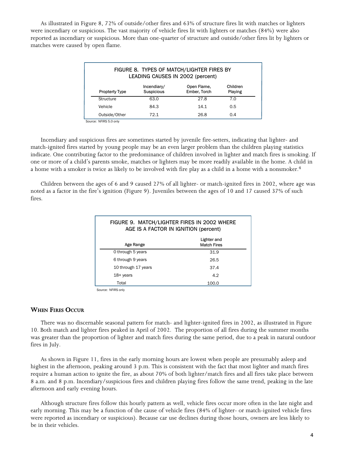As illustrated in Figure 8, 72% of outside/other fires and 63% of structure fires lit with matches or lighters were incendiary or suspicious. The vast majority of vehicle fires lit with lighters or matches (84%) were also reported as incendiary or suspicious. More than one−quarter of structure and outside/other fires lit by lighters or matches were caused by open flame.

| FIGURE 8. TYPES OF MATCH/LIGHTER FIRES BY<br>LEADING CAUSES IN 2002 (percent) |                                                                                        |      |     |  |  |
|-------------------------------------------------------------------------------|----------------------------------------------------------------------------------------|------|-----|--|--|
| <b>Propterty Type</b>                                                         | Open Flame,<br>Children<br>Incendiary/<br><b>Suspicious</b><br>Ember, Torch<br>Playing |      |     |  |  |
| Structure                                                                     | 63.0                                                                                   | 27.8 | 7.0 |  |  |
| Vehicle                                                                       | 84.3                                                                                   | 14.1 | 0.5 |  |  |
| Outside/Other                                                                 | 72.1                                                                                   | 26.8 | 0.4 |  |  |

Source: NFIRS 5.0 only

Incendiary and suspicious fires are sometimes started by juvenile fire−setters, indicating that lighter− and match−ignited fires started by young people may be an even larger problem than the children playing statistics indicate. One contributing factor to the predominance of children involved in lighter and match fires is smoking. If one or more of a child's parents smoke, matches or lighters may be more readily available in the home. A child in a home with a smoker is twice as likely to be involved with fire play as a child in a home with a nonsmoker.<sup>4</sup>

Children between the ages of 6 and 9 caused 27% of all lighter− or match−ignited fires in 2002, where age was noted as a factor in the fire's ignition (Figure 9). Juveniles between the ages of 10 and 17 caused 37% of such fires.

| FIGURE 9. MATCH/LIGHTER FIRES IN 2002 WHERE<br>AGE IS A FACTOR IN IGNITION (percent) |      |  |  |
|--------------------------------------------------------------------------------------|------|--|--|
| Lighter and<br><b>Match Fires</b><br>Age Range                                       |      |  |  |
| 0 through 5 years                                                                    | 31.9 |  |  |
| 6 through 9 years                                                                    | 26.5 |  |  |
| 10 through 17 years                                                                  | 37.4 |  |  |
| $18 + \mathrm{years}$<br>4.2                                                         |      |  |  |
| Total<br>100.0                                                                       |      |  |  |

Source: NFIRS only

#### WHEN FIRES OCCUR

There was no discernable seasonal pattern for match− and lighter−ignited fires in 2002, as illustrated in Figure 10. Both match and lighter fires peaked in April of 2002. The proportion of all fires during the summer months was greater than the proportion of lighter and match fires during the same period, due to a peak in natural outdoor fires in July.

As shown in Figure 11, fires in the early morning hours are lowest when people are presumably asleep and highest in the afternoon, peaking around 3 p.m. This is consistent with the fact that most lighter and match fires require a human action to ignite the fire, as about 70% of both lighter/match fires and all fires take place between 8 a.m. and 8 p.m. Incendiary/suspicious fires and children playing fires follow the same trend, peaking in the late afternoon and early evening hours.

Although structure fires follow this hourly pattern as well, vehicle fires occur more often in the late night and early morning. This may be a function of the cause of vehicle fires (84% of lighter− or match−ignited vehicle fires were reported as incendiary or suspicious). Because car use declines during those hours, owners are less likely to be in their vehicles.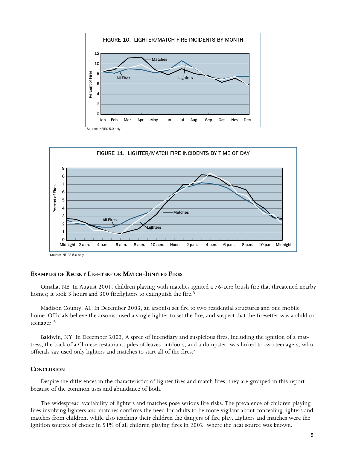



#### EXAMPLES OF RECENT LIGHTER− OR MATCH−IGNITED FIRES

Omaha, NE: In August 2001, children playing with matches ignited a 76−acre brush fire that threatened nearby homes; it took 3 hours and 300 firefighters to extinguish the fire.<sup>5</sup>

Madison County, AL: In December 2003, an arsonist set fire to two residential structures and one mobile home. Officials believe the arsonist used a single lighter to set the fire, and suspect that the firesetter was a child or teenager.<sup>6</sup>

Baldwin, NY: In December 2003, A spree of incendiary and suspicious fires, including the ignition of a mattress, the back of a Chinese restaurant, piles of leaves outdoors, and a dumpster, was linked to two teenagers, who officials say used only lighters and matches to start all of the fires.7

#### **CONCLUSION**

Despite the differences in the characteristics of lighter fires and match fires, they are grouped in this report because of the common uses and abundance of both.

The widespread availability of lighters and matches pose serious fire risks. The prevalence of children playing fires involving lighters and matches confirms the need for adults to be more vigilant about concealing lighters and matches from children, while also teaching their children the dangers of fire play. Lighters and matches were the ignition sources of choice in 51% of all children playing fires in 2002, where the heat source was known.